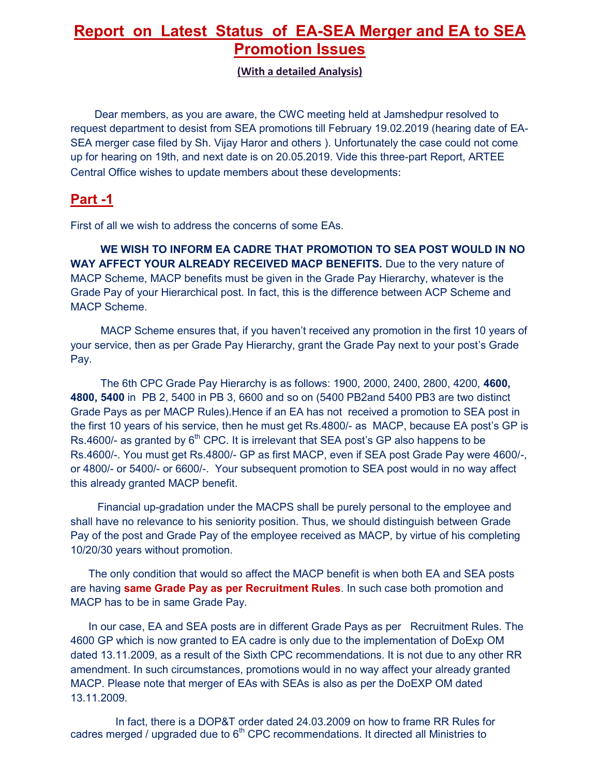## **Report on Latest Status of EA-SEA Merger and EA to SEA Promotion Issues**

**(With a detailed Analysis)** 

 Dear members, as you are aware, the CWC meeting held at Jamshedpur resolved to request department to desist from SEA promotions till February 19.02.2019 (hearing date of EA-SEA merger case filed by Sh. Vijay Haror and others ). Unfortunately the case could not come up for hearing on 19th, and next date is on 20.05.2019. Vide this three-part Report, ARTEE Central Office wishes to update members about these developments:

### **Part -1**

First of all we wish to address the concerns of some EAs.

 **WE WISH TO INFORM EA CADRE THAT PROMOTION TO SEA POST WOULD IN NO WAY AFFECT YOUR ALREADY RECEIVED MACP BENEFITS.** Due to the very nature of MACP Scheme, MACP benefits must be given in the Grade Pay Hierarchy, whatever is the Grade Pay of your Hierarchical post. In fact, this is the difference between ACP Scheme and MACP Scheme.

 MACP Scheme ensures that, if you haven't received any promotion in the first 10 years of your service, then as per Grade Pay Hierarchy, grant the Grade Pay next to your post's Grade Pay.

 The 6th CPC Grade Pay Hierarchy is as follows: 1900, 2000, 2400, 2800, 4200, **4600, 4800, 5400** in PB 2, 5400 in PB 3, 6600 and so on (5400 PB2and 5400 PB3 are two distinct Grade Pays as per MACP Rules).Hence if an EA has not received a promotion to SEA post in the first 10 years of his service, then he must get Rs.4800/- as MACP, because EA post's GP is Rs.4600/- as granted by  $6<sup>th</sup>$  CPC. It is irrelevant that SEA post's GP also happens to be Rs.4600/-. You must get Rs.4800/- GP as first MACP, even if SEA post Grade Pay were 4600/-, or 4800/- or 5400/- or 6600/-. Your subsequent promotion to SEA post would in no way affect this already granted MACP benefit.

 Financial up-gradation under the MACPS shall be purely personal to the employee and shall have no relevance to his seniority position. Thus, we should distinguish between Grade Pay of the post and Grade Pay of the employee received as MACP, by virtue of his completing 10/20/30 years without promotion.

 The only condition that would so affect the MACP benefit is when both EA and SEA posts are having **same Grade Pay as per Recruitment Rules**. In such case both promotion and MACP has to be in same Grade Pay.

 In our case, EA and SEA posts are in different Grade Pays as per Recruitment Rules. The 4600 GP which is now granted to EA cadre is only due to the implementation of DoExp OM dated 13.11.2009, as a result of the Sixth CPC recommendations. It is not due to any other RR amendment. In such circumstances, promotions would in no way affect your already granted MACP. Please note that merger of EAs with SEAs is also as per the DoEXP OM dated 13.11.2009.

 In fact, there is a DOP&T order dated 24.03.2009 on how to frame RR Rules for cadres merged / upgraded due to  $6<sup>th</sup>$  CPC recommendations. It directed all Ministries to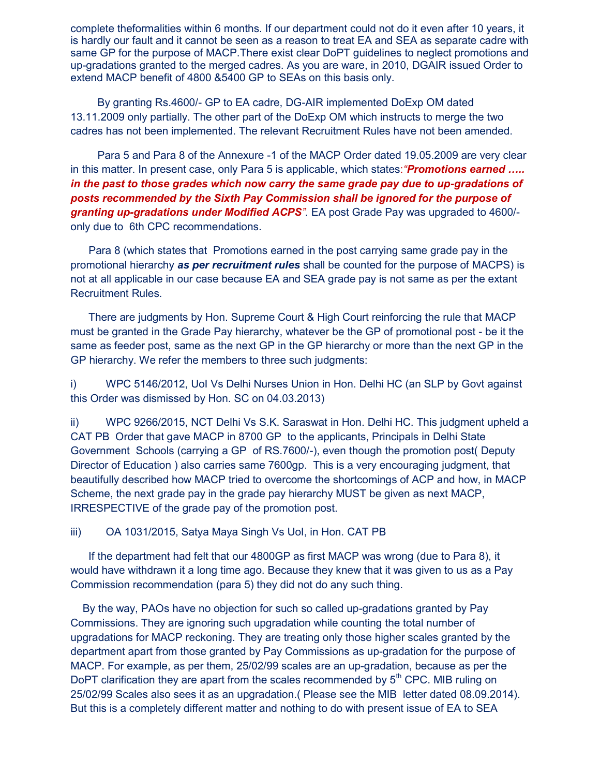complete theformalities within 6 months. If our department could not do it even after 10 years, it is hardly our fault and it cannot be seen as a reason to treat EA and SEA as separate cadre with same GP for the purpose of MACP.There exist clear DoPT guidelines to neglect promotions and up-gradations granted to the merged cadres. As you are ware, in 2010, DGAIR issued Order to extend MACP benefit of 4800 &5400 GP to SEAs on this basis only.

 By granting Rs.4600/- GP to EA cadre, DG-AIR implemented DoExp OM dated 13.11.2009 only partially. The other part of the DoExp OM which instructs to merge the two cadres has not been implemented. The relevant Recruitment Rules have not been amended.

 Para 5 and Para 8 of the Annexure -1 of the MACP Order dated 19.05.2009 are very clear in this matter. In present case, only Para 5 is applicable, which states:*"Promotions earned ….. in the past to those grades which now carry the same grade pay due to up-gradations of posts recommended by the Sixth Pay Commission shall be ignored for the purpose of granting up-gradations under Modified ACPS"*. EA post Grade Pay was upgraded to 4600/ only due to 6th CPC recommendations.

 Para 8 (which states that Promotions earned in the post carrying same grade pay in the promotional hierarchy *as per recruitment rules* shall be counted for the purpose of MACPS) is not at all applicable in our case because EA and SEA grade pay is not same as per the extant Recruitment Rules.

 There are judgments by Hon. Supreme Court & High Court reinforcing the rule that MACP must be granted in the Grade Pay hierarchy, whatever be the GP of promotional post - be it the same as feeder post, same as the next GP in the GP hierarchy or more than the next GP in the GP hierarchy. We refer the members to three such judgments:

i) WPC 5146/2012, UoI Vs Delhi Nurses Union in Hon. Delhi HC (an SLP by Govt against this Order was dismissed by Hon. SC on 04.03.2013)

ii) WPC 9266/2015, NCT Delhi Vs S.K. Saraswat in Hon. Delhi HC. This judgment upheld a CAT PB Order that gave MACP in 8700 GP to the applicants, Principals in Delhi State Government Schools (carrying a GP of RS.7600/-), even though the promotion post( Deputy Director of Education ) also carries same 7600gp. This is a very encouraging judgment, that beautifully described how MACP tried to overcome the shortcomings of ACP and how, in MACP Scheme, the next grade pay in the grade pay hierarchy MUST be given as next MACP, IRRESPECTIVE of the grade pay of the promotion post.

iii) OA 1031/2015, Satya Maya Singh Vs UoI, in Hon. CAT PB

 If the department had felt that our 4800GP as first MACP was wrong (due to Para 8), it would have withdrawn it a long time ago. Because they knew that it was given to us as a Pay Commission recommendation (para 5) they did not do any such thing.

 By the way, PAOs have no objection for such so called up-gradations granted by Pay Commissions. They are ignoring such upgradation while counting the total number of upgradations for MACP reckoning. They are treating only those higher scales granted by the department apart from those granted by Pay Commissions as up-gradation for the purpose of MACP. For example, as per them, 25/02/99 scales are an up-gradation, because as per the DoPT clarification they are apart from the scales recommended by  $5<sup>th</sup>$  CPC. MIB ruling on 25/02/99 Scales also sees it as an upgradation.( Please see the MIB letter dated 08.09.2014). But this is a completely different matter and nothing to do with present issue of EA to SEA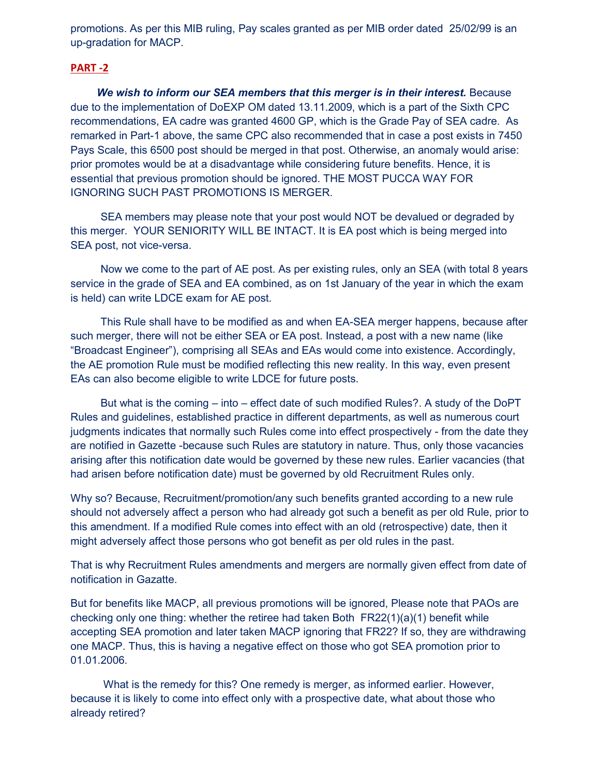promotions. As per this MIB ruling, Pay scales granted as per MIB order dated 25/02/99 is an up-gradation for MACP.

#### **PART -2**

 *We wish to inform our SEA members that this merger is in their interest.* Because due to the implementation of DoEXP OM dated 13.11.2009, which is a part of the Sixth CPC recommendations, EA cadre was granted 4600 GP, which is the Grade Pay of SEA cadre. As remarked in Part-1 above, the same CPC also recommended that in case a post exists in 7450 Pays Scale, this 6500 post should be merged in that post. Otherwise, an anomaly would arise: prior promotes would be at a disadvantage while considering future benefits. Hence, it is essential that previous promotion should be ignored. THE MOST PUCCA WAY FOR IGNORING SUCH PAST PROMOTIONS IS MERGER.

 SEA members may please note that your post would NOT be devalued or degraded by this merger. YOUR SENIORITY WILL BE INTACT. It is EA post which is being merged into SEA post, not vice-versa.

 Now we come to the part of AE post. As per existing rules, only an SEA (with total 8 years service in the grade of SEA and EA combined, as on 1st January of the year in which the exam is held) can write LDCE exam for AE post.

 This Rule shall have to be modified as and when EA-SEA merger happens, because after such merger, there will not be either SEA or EA post. Instead, a post with a new name (like "Broadcast Engineer"), comprising all SEAs and EAs would come into existence. Accordingly, the AE promotion Rule must be modified reflecting this new reality. In this way, even present EAs can also become eligible to write LDCE for future posts.

 But what is the coming – into – effect date of such modified Rules?. A study of the DoPT Rules and guidelines, established practice in different departments, as well as numerous court judgments indicates that normally such Rules come into effect prospectively - from the date they are notified in Gazette -because such Rules are statutory in nature. Thus, only those vacancies arising after this notification date would be governed by these new rules. Earlier vacancies (that had arisen before notification date) must be governed by old Recruitment Rules only.

Why so? Because, Recruitment/promotion/any such benefits granted according to a new rule should not adversely affect a person who had already got such a benefit as per old Rule, prior to this amendment. If a modified Rule comes into effect with an old (retrospective) date, then it might adversely affect those persons who got benefit as per old rules in the past.

That is why Recruitment Rules amendments and mergers are normally given effect from date of notification in Gazatte.

But for benefits like MACP, all previous promotions will be ignored, Please note that PAOs are checking only one thing: whether the retiree had taken Both  $FR22(1)(a)(1)$  benefit while accepting SEA promotion and later taken MACP ignoring that FR22? If so, they are withdrawing one MACP. Thus, this is having a negative effect on those who got SEA promotion prior to 01.01.2006.

 What is the remedy for this? One remedy is merger, as informed earlier. However, because it is likely to come into effect only with a prospective date, what about those who already retired?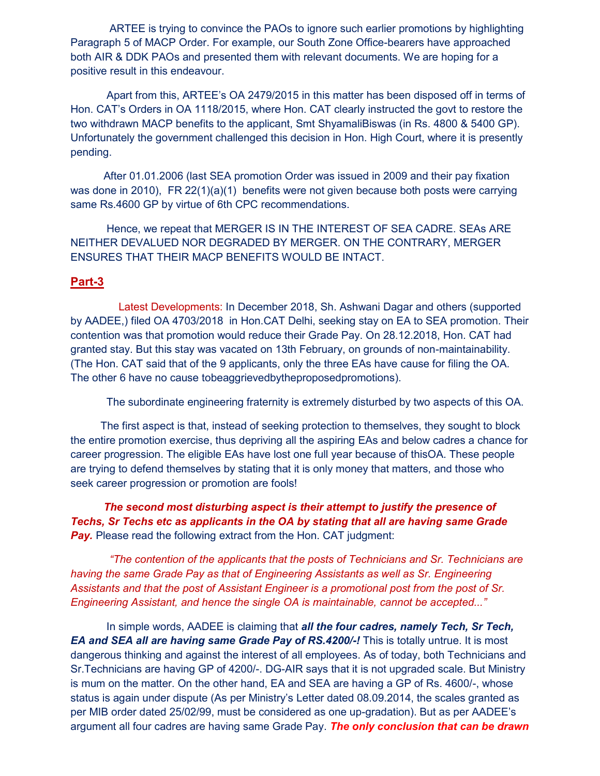ARTEE is trying to convince the PAOs to ignore such earlier promotions by highlighting Paragraph 5 of MACP Order. For example, our South Zone Office-bearers have approached both AIR & DDK PAOs and presented them with relevant documents. We are hoping for a positive result in this endeavour.

 Apart from this, ARTEE's OA 2479/2015 in this matter has been disposed off in terms of Hon. CAT's Orders in OA 1118/2015, where Hon. CAT clearly instructed the govt to restore the two withdrawn MACP benefits to the applicant, Smt ShyamaliBiswas (in Rs. 4800 & 5400 GP). Unfortunately the government challenged this decision in Hon. High Court, where it is presently pending.

 After 01.01.2006 (last SEA promotion Order was issued in 2009 and their pay fixation was done in 2010), FR 22(1)(a)(1) benefits were not given because both posts were carrying same Rs.4600 GP by virtue of 6th CPC recommendations.

 Hence, we repeat that MERGER IS IN THE INTEREST OF SEA CADRE. SEAs ARE NEITHER DEVALUED NOR DEGRADED BY MERGER. ON THE CONTRARY, MERGER ENSURES THAT THEIR MACP BENEFITS WOULD BE INTACT.

#### **Part-3**

 Latest Developments: In December 2018, Sh. Ashwani Dagar and others (supported by AADEE,) filed OA 4703/2018 in Hon.CAT Delhi, seeking stay on EA to SEA promotion. Their contention was that promotion would reduce their Grade Pay. On 28.12.2018, Hon. CAT had granted stay. But this stay was vacated on 13th February, on grounds of non-maintainability. (The Hon. CAT said that of the 9 applicants, only the three EAs have cause for filing the OA. The other 6 have no cause tobeaggrievedbytheproposedpromotions).

The subordinate engineering fraternity is extremely disturbed by two aspects of this OA.

 The first aspect is that, instead of seeking protection to themselves, they sought to block the entire promotion exercise, thus depriving all the aspiring EAs and below cadres a chance for career progression. The eligible EAs have lost one full year because of thisOA. These people are trying to defend themselves by stating that it is only money that matters, and those who seek career progression or promotion are fools!

 *The second most disturbing aspect is their attempt to justify the presence of Techs, Sr Techs etc as applicants in the OA by stating that all are having same Grade*  **Pay.** Please read the following extract from the Hon. CAT judgment:

 *"The contention of the applicants that the posts of Technicians and Sr. Technicians are having the same Grade Pay as that of Engineering Assistants as well as Sr. Engineering Assistants and that the post of Assistant Engineer is a promotional post from the post of Sr. Engineering Assistant, and hence the single OA is maintainable, cannot be accepted..."*

 In simple words, AADEE is claiming that *all the four cadres, namely Tech, Sr Tech,*  **EA and SEA all are having same Grade Pay of RS.4200/-!** This is totally untrue. It is most dangerous thinking and against the interest of all employees. As of today, both Technicians and Sr.Technicians are having GP of 4200/-. DG-AIR says that it is not upgraded scale. But Ministry is mum on the matter. On the other hand, EA and SEA are having a GP of Rs. 4600/-, whose status is again under dispute (As per Ministry's Letter dated 08.09.2014, the scales granted as per MIB order dated 25/02/99, must be considered as one up-gradation). But as per AADEE's argument all four cadres are having same Grade Pay. *The only conclusion that can be drawn*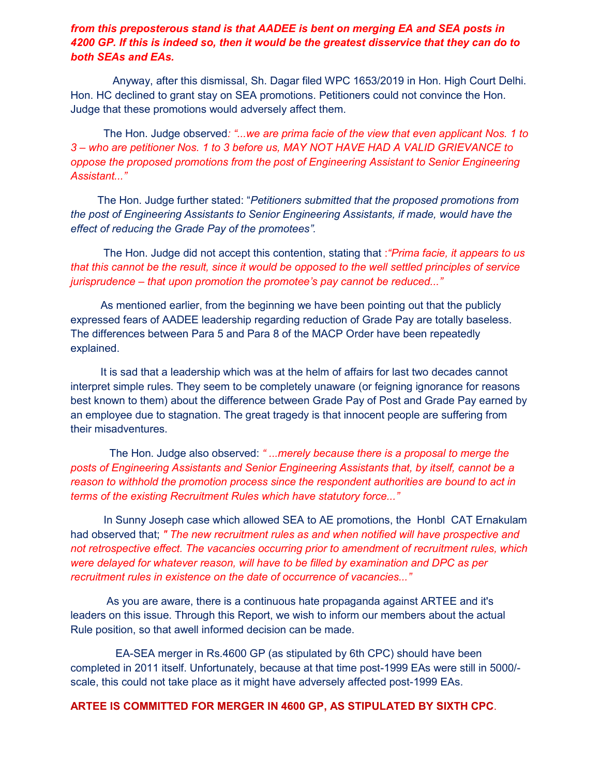#### *from this preposterous stand is that AADEE is bent on merging EA and SEA posts in 4200 GP. If this is indeed so, then it would be the greatest disservice that they can do to both SEAs and EAs.*

 Anyway, after this dismissal, Sh. Dagar filed WPC 1653/2019 in Hon. High Court Delhi. Hon. HC declined to grant stay on SEA promotions. Petitioners could not convince the Hon. Judge that these promotions would adversely affect them.

 The Hon. Judge observed*: "...we are prima facie of the view that even applicant Nos. 1 to 3 – who are petitioner Nos. 1 to 3 before us, MAY NOT HAVE HAD A VALID GRIEVANCE to oppose the proposed promotions from the post of Engineering Assistant to Senior Engineering Assistant..."* 

 The Hon. Judge further stated: "*Petitioners submitted that the proposed promotions from the post of Engineering Assistants to Senior Engineering Assistants, if made, would have the effect of reducing the Grade Pay of the promotees".* 

 The Hon. Judge did not accept this contention, stating that :*"Prima facie, it appears to us that this cannot be the result, since it would be opposed to the well settled principles of service jurisprudence – that upon promotion the promotee's pay cannot be reduced..."*

 As mentioned earlier, from the beginning we have been pointing out that the publicly expressed fears of AADEE leadership regarding reduction of Grade Pay are totally baseless. The differences between Para 5 and Para 8 of the MACP Order have been repeatedly explained.

 It is sad that a leadership which was at the helm of affairs for last two decades cannot interpret simple rules. They seem to be completely unaware (or feigning ignorance for reasons best known to them) about the difference between Grade Pay of Post and Grade Pay earned by an employee due to stagnation. The great tragedy is that innocent people are suffering from their misadventures.

 The Hon. Judge also observed: *" ...merely because there is a proposal to merge the posts of Engineering Assistants and Senior Engineering Assistants that, by itself, cannot be a reason to withhold the promotion process since the respondent authorities are bound to act in terms of the existing Recruitment Rules which have statutory force..."*

 In Sunny Joseph case which allowed SEA to AE promotions, the Honbl CAT Ernakulam had observed that; *" The new recruitment rules as and when notified will have prospective and not retrospective effect. The vacancies occurring prior to amendment of recruitment rules, which were delayed for whatever reason, will have to be filled by examination and DPC as per recruitment rules in existence on the date of occurrence of vacancies..."*

 As you are aware, there is a continuous hate propaganda against ARTEE and it's leaders on this issue. Through this Report, we wish to inform our members about the actual Rule position, so that awell informed decision can be made.

 EA-SEA merger in Rs.4600 GP (as stipulated by 6th CPC) should have been completed in 2011 itself. Unfortunately, because at that time post-1999 EAs were still in 5000/ scale, this could not take place as it might have adversely affected post-1999 EAs.

**ARTEE IS COMMITTED FOR MERGER IN 4600 GP, AS STIPULATED BY SIXTH CPC**.